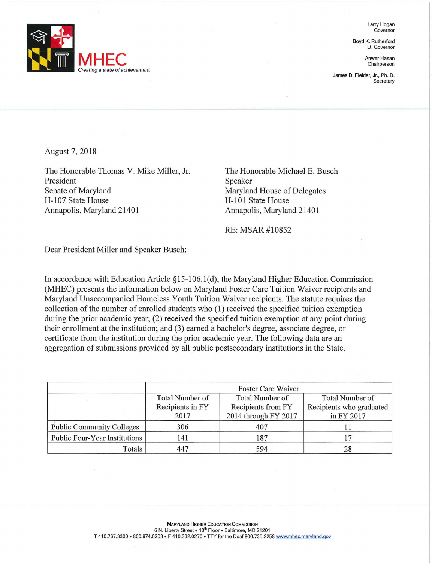

Larry Hogan **Governor** 

Boyd K. Rutherford Lt. Governor

**Chairperson** 

James D. Fielder, Jr., Ph. D. **Secretary** 

August 7, 2018

The Honorable Thomas V. Mike Miller, Jr. President Senate of Maryland H-107 State House Annapolis, Maryland 21401

The Honorable Michael E. Busch Speaker Maryland House of Delegates H-101 State House Annapolis, Maryland 21401

RE: MSAR #10852

Dear President Miller and Speaker Busch:

In accordance with Education Atiicle §15-106.l(d), the Maryland Higher Education Commission (MHEC) presents the information below on Maryland Foster Care Tuition Waiver recipients and Maryland Unaccompanied Homeless Youth Tuition Waiver recipients. The statute requires the collection of the number of emolled students who (1) received the specified tuition exemption during the prior academic year; (2) received the specified tuition exemption at any point during their emollment at the institution; and (3) earned a bachelor's degree, associate degree, or certificate from the institution during the prior academic year. The following data are an aggregation of submissions provided by all public postsecondary institutions in the State.

|                                  | Foster Care Waiver     |                      |                          |
|----------------------------------|------------------------|----------------------|--------------------------|
|                                  | <b>Total Number of</b> | Total Number of      | Total Number of          |
|                                  | Recipients in FY       | Recipients from FY   | Recipients who graduated |
|                                  | 2017                   | 2014 through FY 2017 | in FY 2017               |
| <b>Public Community Colleges</b> | 306                    | 407                  |                          |
| Public Four-Year Institutions    | 141                    | 187                  |                          |
| Totals                           | 447                    | 594                  |                          |